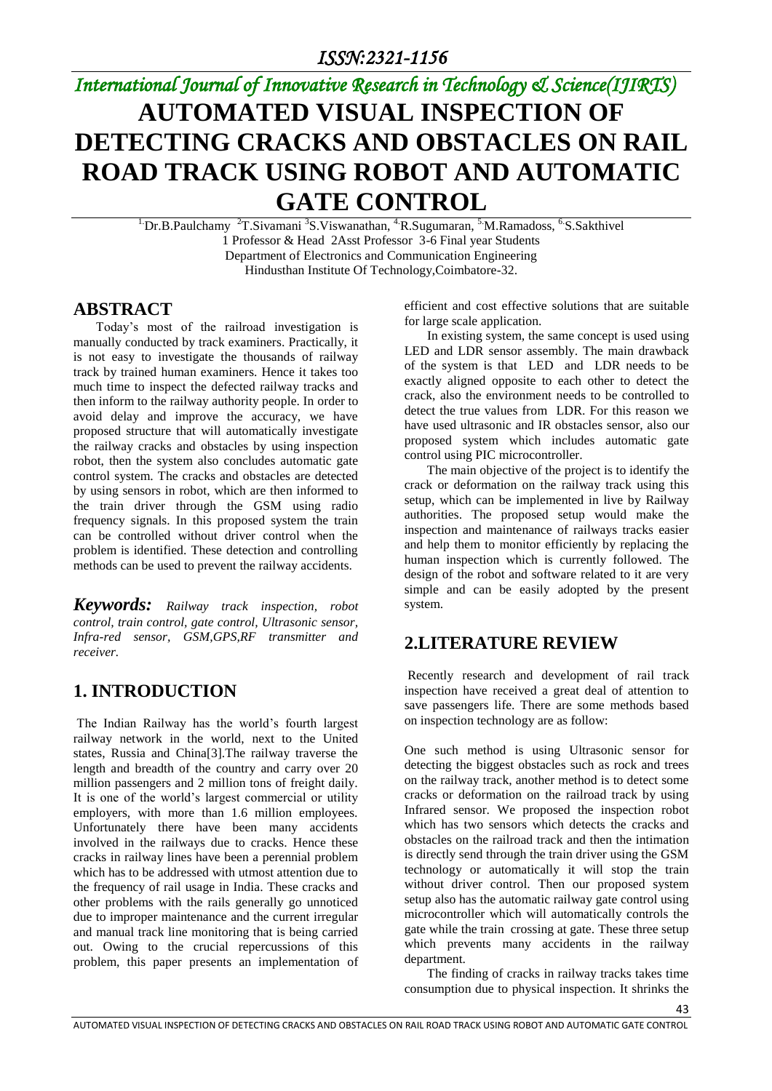# *International Journal of Innovative Research in Technology & Science(IJIRTS)*

# **AUTOMATED VISUAL INSPECTION OF DETECTING CRACKS AND OBSTACLES ON RAIL ROAD TRACK USING ROBOT AND AUTOMATIC GATE CONTROL**

 $1\text{Dr.B.Paulchamy }^2$ T.Sivamani  $3\text{S.Viswanathan, }^4$ R.Sugumaran,  $5\text{M.Ramados, }^6$ S.Sakthivel 1 Professor & Head 2Asst Professor 3-6 Final year Students Department of Electronics and Communication Engineering Hindusthan Institute Of Technology,Coimbatore-32.

#### **ABSTRACT**

Today's most of the railroad investigation is manually conducted by track examiners. Practically, it is not easy to investigate the thousands of railway track by trained human examiners. Hence it takes too much time to inspect the defected railway tracks and then inform to the railway authority people. In order to avoid delay and improve the accuracy, we have proposed structure that will automatically investigate the railway cracks and obstacles by using inspection robot, then the system also concludes automatic gate control system. The cracks and obstacles are detected by using sensors in robot, which are then informed to the train driver through the GSM using radio frequency signals. In this proposed system the train can be controlled without driver control when the problem is identified. These detection and controlling methods can be used to prevent the railway accidents.

*Keywords: Railway track inspection, robot control, train control, gate control, Ultrasonic sensor, Infra-red sensor, GSM,GPS,RF transmitter and receiver.*

### **1. INTRODUCTION**

The Indian Railway has the world's fourth largest railway network in the world, next to the United states, Russia and China[3].The railway traverse the length and breadth of the country and carry over 20 million passengers and 2 million tons of freight daily. It is one of the world's largest commercial or utility employers, with more than 1.6 million employees. Unfortunately there have been many accidents involved in the railways due to cracks. Hence these cracks in railway lines have been a perennial problem which has to be addressed with utmost attention due to the frequency of rail usage in India. These cracks and other problems with the rails generally go unnoticed due to improper maintenance and the current irregular and manual track line monitoring that is being carried out. Owing to the crucial repercussions of this problem, this paper presents an implementation of efficient and cost effective solutions that are suitable for large scale application.

 In existing system, the same concept is used using LED and LDR sensor assembly. The main drawback of the system is that LED and LDR needs to be exactly aligned opposite to each other to detect the crack, also the environment needs to be controlled to detect the true values from LDR. For this reason we have used ultrasonic and IR obstacles sensor, also our proposed system which includes automatic gate control using PIC microcontroller.

 The main objective of the project is to identify the crack or deformation on the railway track using this setup, which can be implemented in live by Railway authorities. The proposed setup would make the inspection and maintenance of railways tracks easier and help them to monitor efficiently by replacing the human inspection which is currently followed. The design of the robot and software related to it are very simple and can be easily adopted by the present system.

### **2.LITERATURE REVIEW**

Recently research and development of rail track inspection have received a great deal of attention to save passengers life. There are some methods based on inspection technology are as follow:

One such method is using Ultrasonic sensor for detecting the biggest obstacles such as rock and trees on the railway track, another method is to detect some cracks or deformation on the railroad track by using Infrared sensor. We proposed the inspection robot which has two sensors which detects the cracks and obstacles on the railroad track and then the intimation is directly send through the train driver using the GSM technology or automatically it will stop the train without driver control. Then our proposed system setup also has the automatic railway gate control using microcontroller which will automatically controls the gate while the train crossing at gate. These three setup which prevents many accidents in the railway department.

The finding of cracks in railway tracks takes time consumption due to physical inspection. It shrinks the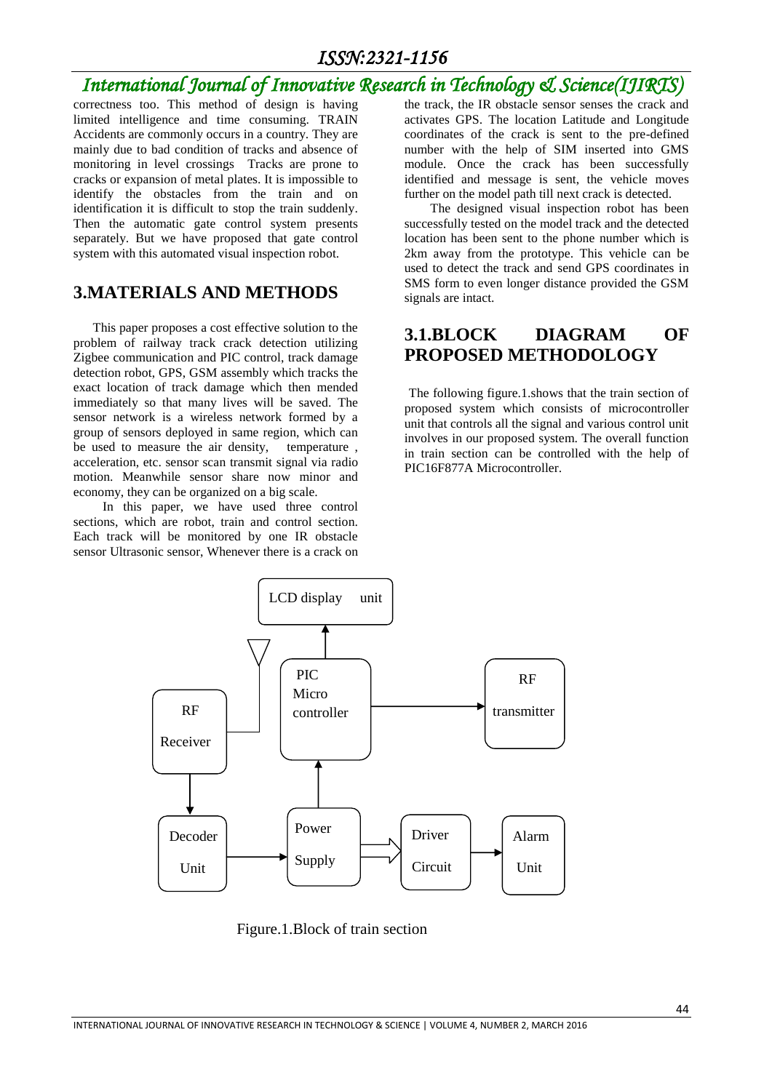### *International Journal of Innovative Research in Technology & Science(IJIRTS)*

correctness too. This method of design is having limited intelligence and time consuming. TRAIN Accidents are commonly occurs in a country. They are mainly due to bad condition of tracks and absence of monitoring in level crossings Tracks are prone to cracks or expansion of metal plates. It is impossible to identify the obstacles from the train and on identification it is difficult to stop the train suddenly. Then the automatic gate control system presents separately. But we have proposed that gate control system with this automated visual inspection robot.

#### **3.MATERIALS AND METHODS**

This paper proposes a cost effective solution to the problem of railway track crack detection utilizing Zigbee communication and PIC control, track damage detection robot, GPS, GSM assembly which tracks the exact location of track damage which then mended immediately so that many lives will be saved. The sensor network is a wireless network formed by a group of sensors deployed in same region, which can be used to measure the air density, temperature , acceleration, etc. sensor scan transmit signal via radio motion. Meanwhile sensor share now minor and economy, they can be organized on a big scale.

 In this paper, we have used three control sections, which are robot, train and control section. Each track will be monitored by one IR obstacle sensor Ultrasonic sensor, Whenever there is a crack on the track, the IR obstacle sensor senses the crack and activates GPS. The location Latitude and Longitude coordinates of the crack is sent to the pre-defined number with the help of SIM inserted into GMS module. Once the crack has been successfully identified and message is sent, the vehicle moves further on the model path till next crack is detected.

 The designed visual inspection robot has been successfully tested on the model track and the detected location has been sent to the phone number which is 2km away from the prototype. This vehicle can be used to detect the track and send GPS coordinates in SMS form to even longer distance provided the GSM signals are intact.

#### **3.1.BLOCK DIAGRAM OF PROPOSED METHODOLOGY**

The following figure.1.shows that the train section of proposed system which consists of microcontroller unit that controls all the signal and various control unit involves in our proposed system. The overall function in train section can be controlled with the help of PIC16F877A Microcontroller.



Figure.1.Block of train section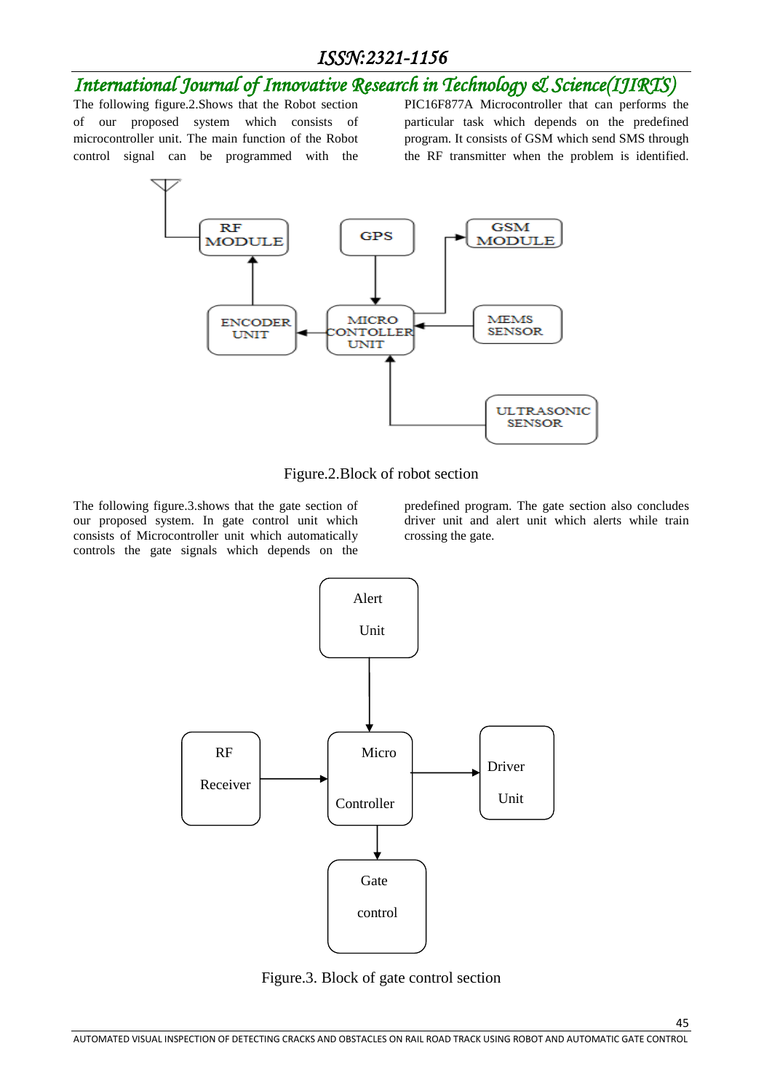## *International Journal of Innovative Research in Technology & Science(IJIRTS)*

The following figure.2.Shows that the Robot section of our proposed system which consists of microcontroller unit. The main function of the Robot control signal can be programmed with the

PIC16F877A Microcontroller that can performs the particular task which depends on the predefined program. It consists of GSM which send SMS through the RF transmitter when the problem is identified.



Figure.2.Block of robot section

The following figure.3.shows that the gate section of our proposed system. In gate control unit which consists of Microcontroller unit which automatically controls the gate signals which depends on the

predefined program. The gate section also concludes driver unit and alert unit which alerts while train crossing the gate.

45



Figure.3. Block of gate control section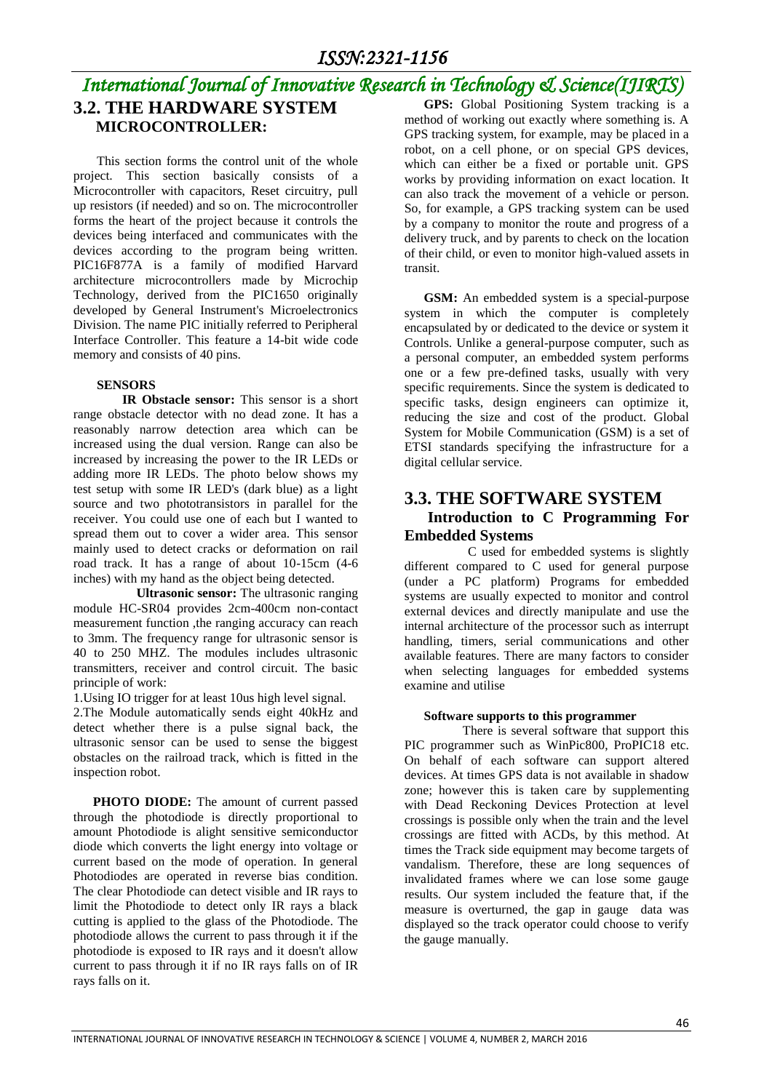#### *International Journal of Innovative Research in Technology & Science(IJIRTS)* **3.2. THE HARDWARE SYSTEM MICROCONTROLLER: GPS:** Global Positioning System tracking is a method of working out exactly where something is. A

This section forms the control unit of the whole project. This section basically consists of a Microcontroller with capacitors, Reset circuitry, pull up resistors (if needed) and so on. The microcontroller forms the heart of the project because it controls the devices being interfaced and communicates with the devices according to the program being written. PIC16F877A is a family of modified Harvard architecture microcontrollers made by Microchip Technology, derived from the PIC1650 originally developed by General Instrument's Microelectronics Division. The name PIC initially referred to Peripheral Interface Controller. This feature a 14-bit wide code memory and consists of 40 pins.

#### **SENSORS**

 **IR Obstacle sensor:** This sensor is a short range obstacle detector with no dead zone. It has a reasonably narrow detection area which can be increased using the dual version. Range can also be increased by increasing the power to the IR LEDs or adding more IR LEDs. The photo below shows my test setup with some IR LED's (dark blue) as a light source and two phototransistors in parallel for the receiver. You could use one of each but I wanted to spread them out to cover a wider area. This sensor mainly used to detect cracks or deformation on rail road track. It has a range of about 10-15cm (4-6 inches) with my hand as the object being detected.

 **Ultrasonic sensor:** The ultrasonic ranging module HC-SR04 provides 2cm-400cm non-contact measurement function ,the ranging accuracy can reach to 3mm. The frequency range for ultrasonic sensor is 40 to 250 MHZ. The modules includes ultrasonic transmitters, receiver and control circuit. The basic principle of work:

1.Using IO trigger for at least 10us high level signal.

2.The Module automatically sends eight 40kHz and detect whether there is a pulse signal back, the ultrasonic sensor can be used to sense the biggest obstacles on the railroad track, which is fitted in the inspection robot.

 **PHOTO DIODE:** The amount of current passed through the photodiode is directly proportional to amount Photodiode is alight sensitive semiconductor diode which converts the light energy into voltage or current based on the mode of operation. In general Photodiodes are operated in reverse bias condition. The clear Photodiode can detect visible and IR rays to limit the Photodiode to detect only IR rays a black cutting is applied to the glass of the Photodiode. The photodiode allows the current to pass through it if the photodiode is exposed to IR rays and it doesn't allow current to pass through it if no IR rays falls on of IR rays falls on it.

GPS tracking system, for example, may be placed in a robot, on a cell phone, or on special GPS devices, which can either be a fixed or portable unit. GPS works by providing information on exact location. It can also track the movement of a vehicle or person. So, for example, a GPS tracking system can be used by a company to monitor the route and progress of a delivery truck, and by parents to check on the location of their child, or even to monitor high-valued assets in transit.

 **GSM:** An embedded system is a special-purpose system in which the computer is completely encapsulated by or dedicated to the device or system it Controls. Unlike a general-purpose computer, such as a personal computer, an embedded system performs one or a few pre-defined tasks, usually with very specific requirements. Since the system is dedicated to specific tasks, design engineers can optimize it, reducing the size and cost of the product. Global System for Mobile Communication (GSM) is a set of ETSI standards specifying the infrastructure for a digital cellular service.

#### **3.3. THE SOFTWARE SYSTEM Introduction to C Programming For Embedded Systems**

 C used for embedded systems is slightly different compared to C used for general purpose (under a PC platform) Programs for embedded systems are usually expected to monitor and control external devices and directly manipulate and use the internal architecture of the processor such as interrupt handling, timers, serial communications and other available features. There are many factors to consider when selecting languages for embedded systems examine and utilise

#### **Software supports to this programmer**

There is several software that support this PIC programmer such as WinPic800, ProPIC18 etc. On behalf of each software can support altered devices. At times GPS data is not available in shadow zone; however this is taken care by supplementing with Dead Reckoning Devices Protection at level crossings is possible only when the train and the level crossings are fitted with ACDs, by this method. At times the Track side equipment may become targets of vandalism. Therefore, these are long sequences of invalidated frames where we can lose some gauge results. Our system included the feature that, if the measure is overturned, the gap in gauge data was displayed so the track operator could choose to verify the gauge manually.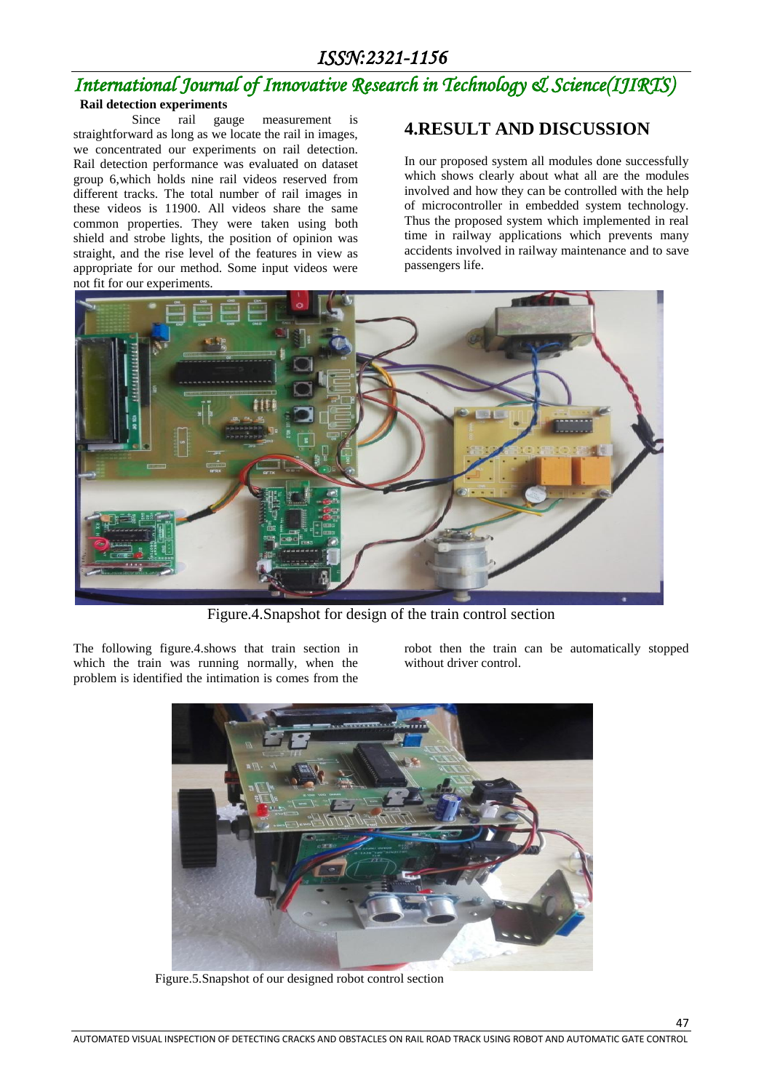### *International Journal of Innovative Research in Technology & Science(IJIRTS)*  **Rail detection experiments**

 Since rail gauge measurement is straightforward as long as we locate the rail in images, we concentrated our experiments on rail detection. Rail detection performance was evaluated on dataset group 6,which holds nine rail videos reserved from different tracks. The total number of rail images in these videos is 11900. All videos share the same common properties. They were taken using both shield and strobe lights, the position of opinion was straight, and the rise level of the features in view as appropriate for our method. Some input videos were not fit for our experiments.

### **4.RESULT AND DISCUSSION**

In our proposed system all modules done successfully which shows clearly about what all are the modules involved and how they can be controlled with the help of microcontroller in embedded system technology. Thus the proposed system which implemented in real time in railway applications which prevents many accidents involved in railway maintenance and to save passengers life.



Figure.4.Snapshot for design of the train control section

The following figure.4.shows that train section in which the train was running normally, when the problem is identified the intimation is comes from the robot then the train can be automatically stopped without driver control.

47



Figure.5.Snapshot of our designed robot control section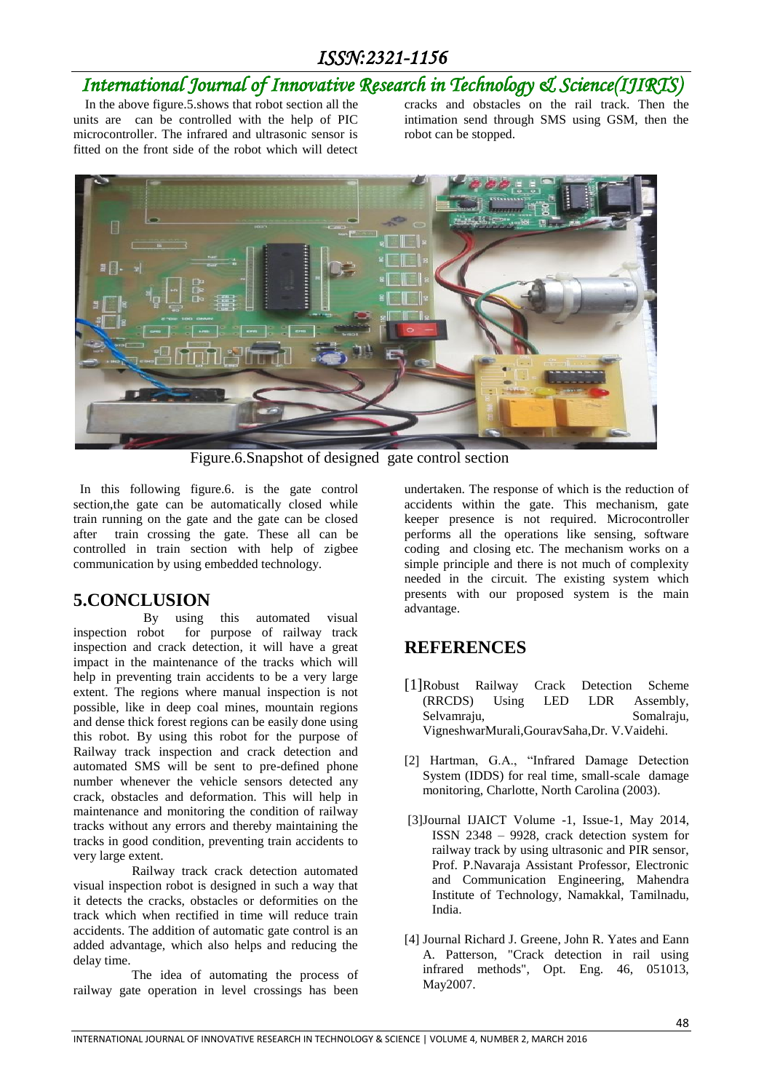## *International Journal of Innovative Research in Technology & Science(IJIRTS)*

In the above figure.5.shows that robot section all the units are can be controlled with the help of PIC microcontroller. The infrared and ultrasonic sensor is fitted on the front side of the robot which will detect

cracks and obstacles on the rail track. Then the intimation send through SMS using GSM, then the robot can be stopped.



Figure.6.Snapshot of designed gate control section

In this following figure.6. is the gate control section,the gate can be automatically closed while train running on the gate and the gate can be closed after train crossing the gate. These all can be controlled in train section with help of zigbee communication by using embedded technology.

#### **5.CONCLUSION**

 By using this automated visual inspection robot for purpose of railway track inspection and crack detection, it will have a great impact in the maintenance of the tracks which will help in preventing train accidents to be a very large extent. The regions where manual inspection is not possible, like in deep coal mines, mountain regions and dense thick forest regions can be easily done using this robot. By using this robot for the purpose of Railway track inspection and crack detection and automated SMS will be sent to pre-defined phone number whenever the vehicle sensors detected any crack, obstacles and deformation. This will help in maintenance and monitoring the condition of railway tracks without any errors and thereby maintaining the tracks in good condition, preventing train accidents to very large extent.

 Railway track crack detection automated visual inspection robot is designed in such a way that it detects the cracks, obstacles or deformities on the track which when rectified in time will reduce train accidents. The addition of automatic gate control is an added advantage, which also helps and reducing the delay time.

 The idea of automating the process of railway gate operation in level crossings has been undertaken. The response of which is the reduction of accidents within the gate. This mechanism, gate keeper presence is not required. Microcontroller performs all the operations like sensing, software coding and closing etc. The mechanism works on a simple principle and there is not much of complexity needed in the circuit. The existing system which presents with our proposed system is the main advantage.

### **REFERENCES**

- [1]Robust Railway Crack Detection Scheme (RRCDS) Using LED LDR Assembly, Selvamraju, Somalraju, VigneshwarMurali,GouravSaha,Dr. V.Vaidehi.
- [2] Hartman, G.A., "Infrared Damage Detection System (IDDS) for real time, small-scale damage monitoring, Charlotte, North Carolina (2003).
- [3]Journal IJAICT Volume -1, Issue-1, May 2014, ISSN 2348 – 9928, crack detection system for railway track by using ultrasonic and PIR sensor, Prof. P.Navaraja Assistant Professor, Electronic and Communication Engineering, Mahendra Institute of Technology, Namakkal, Tamilnadu, India.
- [4] Journal Richard J. Greene, John R. Yates and Eann A. Patterson, "Crack detection in rail using infrared methods", Opt. Eng. 46, 051013, May2007.